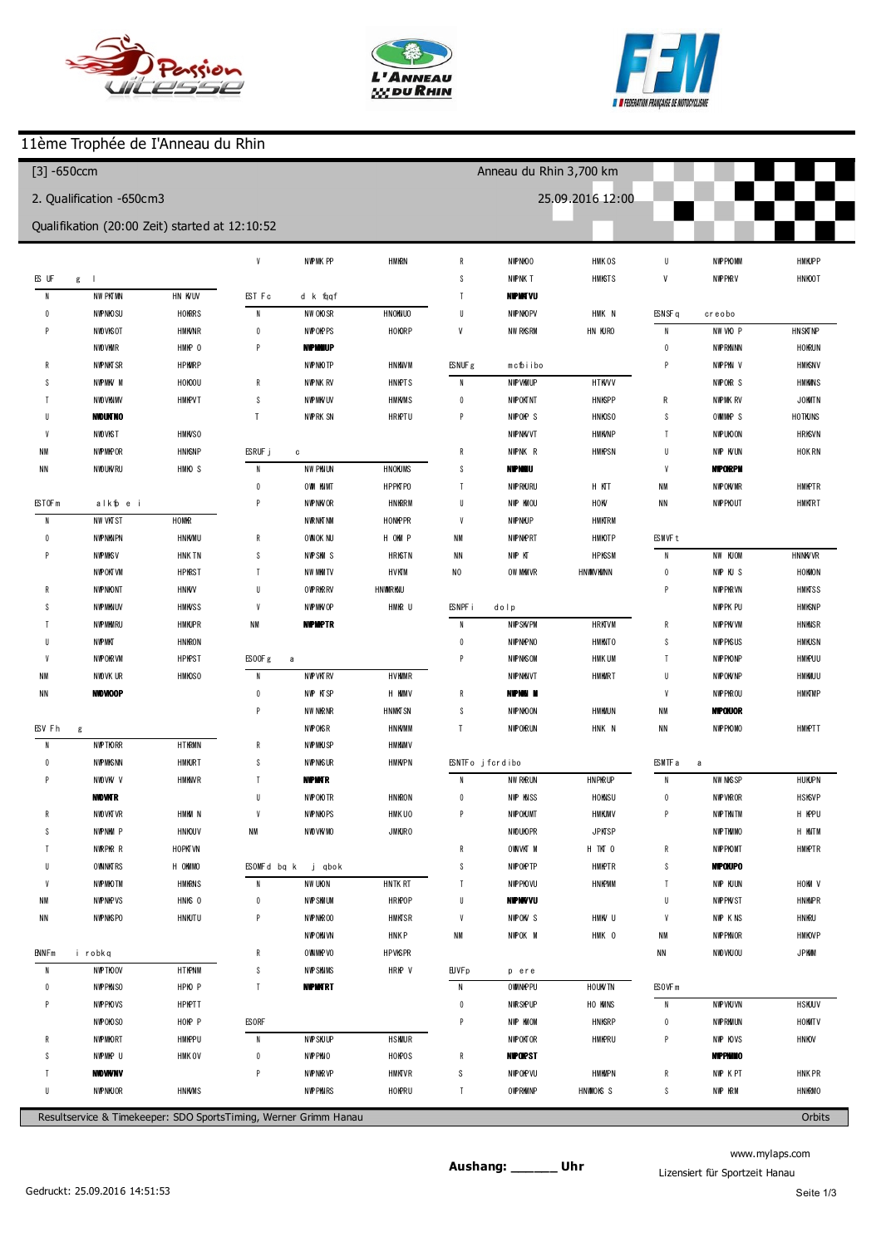





# 11ème Trophée de I'Anneau du Rhin

| $[3] - 650$ ccm     |                          |                                                |                    |                                                                  |             |                          | Anneau du Rhin 3,700 km |                  |                  |                        |           |
|---------------------|--------------------------|------------------------------------------------|--------------------|------------------------------------------------------------------|-------------|--------------------------|-------------------------|------------------|------------------|------------------------|-----------|
|                     | 2. Qualification -650cm3 |                                                |                    |                                                                  |             |                          |                         | 25.09.2016 12:00 |                  |                        |           |
|                     |                          | Qualifikation (20:00 Zeit) started at 12:10:52 |                    |                                                                  |             |                          |                         |                  |                  |                        |           |
|                     |                          |                                                | $\boldsymbol{9}$   | 1 3 0.4 3 3                                                      | $+0.514$    | 5                        | 131.224                 | $+0.426$         | 8                | 133.200                | $+0.833$  |
| (648) kevin JACOB   |                          |                                                |                    |                                                                  |             | $6\phantom{1}6$          | 131.474                 | $+0.676$         | p9               | 1 3 3 5 9 4            | $+1.227$  |
| $\overline{1}$      | 1 43.701                 | $+14.989$                                      |                    | (674) Fabrice GANZITI                                            |             | $\overline{1}$           | 130.798                 |                  |                  |                        |           |
| $\overline{2}$      | 131.268                  | $+2.556$                                       | $\overline{1}$     | 1 42.265                                                         | $+12.182$   | $\, 8$                   | 131.239                 | $+0.441$         |                  | (616) Thomas FUHRER    |           |
| 3                   | 1 29.627                 | $+0.915$                                       | $\sqrt{2}$         | 132.336                                                          | $+2.253$    | p9                       | 1 45.650                | $+14.852$        | $\overline{1}$   | 1 49.243               | $+16.713$ |
| 4                   | 1 29.054                 | $+0.342$                                       | $\sqrt{3}$         | 130.083                                                          |             |                          |                         |                  | $\overline{2}$   | 135.111                | $+2.581$  |
| 5                   | 131.765                  | $+3.053$                                       | 4                  | 131.273                                                          | $+1.190$    | (618) Joffrey            | PFELLER                 |                  | 3                | 1 3 3 1 4 9            | $+0.619$  |
| $\boldsymbol{6}$    | 1 30.940                 | $+2.228$                                       | 5                  | 131.459                                                          | $+1.376$    | $\overline{1}$           | 139.083                 | $+7.999$         | $\overline{4}$   | 132.546                | $+0.016$  |
| $\overline{1}$      | 1 29.109                 | $+0.397$                                       | $\boldsymbol{6}$   | 130.989                                                          | $+0.906$    | $\overline{2}$           | 132.717                 | $+1.633$         | p5               | 1 30.459               | $-2.071$  |
| 8                   | 128.712                  |                                                | p7                 | 135.461                                                          | $+5.378$    | $\sqrt{3}$               | 132.346                 | $+1.262$         | $6\phantom{1}6$  | 2 00.346               | $+27.816$ |
| 9                   | 1 29.674                 | $+0.962$                                       |                    |                                                                  |             | $\overline{4}$           | 131.997                 | $+0.913$         | $\overline{1}$   | 138.221                | $+5.691$  |
| 10                  | 130.325                  | $+1.613$                                       | (658) Maxime Feutz |                                                                  |             | 5                        | 131.445                 | $+0.361$         | 8                | 134.981                | $+2.451$  |
| 11                  | 1 28.958                 | $+0.246$                                       | $\overline{1}$     | 1 43.181                                                         | $+12.806$   | $\boldsymbol{6}$         | 131.084                 |                  | $\overline{9}$   | 132530                 |           |
|                     |                          |                                                | $\sqrt{2}$         | 204.107                                                          | $+33.732$   | $\overline{1}$           | 135.858                 | $+4.774$         | 10               | 132.905                | $+0.375$  |
| (672) Philippe      | <b>DON SCHAL</b>         |                                                | $\sqrt{3}$         | 131.925                                                          | $+1.550$    | $\,$ 8                   | 134.028                 | $+2.944$         | 11               | 133.287                | $+0.757$  |
| $\overline{1}$      | 1 49.767                 | $+20.544$                                      | $\overline{4}$     | 151.710                                                          | $+21.335$   | $\overline{9}$           | 131.834                 | $+0.750$         |                  |                        |           |
| $\overline{2}$      | 131.131                  | $+1.908$                                       | 5                  | 2.12.418                                                         | $+42.043$   | 10                       | 131.357                 | $+0.273$         | (609) W illiam   | <b>B</b> ehra          |           |
| 3                   | 1 30.694                 | $+1.471$                                       | $\boldsymbol{6}$   | 136.046                                                          | $+5.671$    | 11                       | 134.744                 | $+3.660$         | $\overline{1}$   | 1 44.820               | $+11.995$ |
| 4                   | 132.790                  | $+3.567$                                       | $\overline{7}$     | 1 40.079                                                         | $+9.704$    | 512                      | 2 40.095                | $+109.011$       | $\overline{2}$   | 1 34.846               | $+2.021$  |
| -5                  | 131.217                  | $+1.994$                                       | $\bf 8$            | 235.559                                                          | $+1.05.184$ |                          |                         |                  | 3                | 133.591                | $+0.766$  |
| 6                   | 130.189                  | $+0.966$                                       | $\boldsymbol{9}$   | 130.923                                                          | $+0.548$    | (613) Loïc GROS          |                         |                  | 4                | 1 3 3 4 3 8            | $+0.613$  |
| 7                   | 130.058                  | $+0.835$                                       | 10                 | 130.375                                                          |             | $\overline{1}$           | 136.930                 | $+5.790$         | 5                | 133.990                | $+1.165$  |
| 8                   | 1 30.744                 | $+1.521$                                       |                    |                                                                  |             | $\overline{2}$           | 131.312                 | $+0.172$         | $6\phantom{1}6$  | 133.686                | $+0.861$  |
| 9                   | 132.590                  | $+3.367$                                       | (622) Jacky De pye |                                                                  |             | $\overline{3}$           | 131.620                 | $+0.480$         | $\overline{1}$   | 1 3 3 . 2 1 3          | $+0.388$  |
| 10                  | 1 29.485                 | $+0.262$                                       | $\overline{1}$     | 139.759                                                          | $+9.005$    | $\overline{4}$           | 131.197                 | $+0.057$         | 8                | 132.913                | $+0.088$  |
| 11                  | 129.223                  |                                                | $\overline{2}$     | 134.763                                                          | $+4.009$    | 5                        | 131.140                 |                  | 9                | 133.528                | $+0.703$  |
|                     |                          |                                                | $\sqrt{3}$         | 1 41.515                                                         | $+10.761$   | $\boldsymbol{6}$         | 131.221                 | $+0.081$         | 10               | 132825                 |           |
| (694) Kevin Jaeck   |                          |                                                | 4                  | 132.654                                                          | $+1.900$    | p7                       | 132.581                 | $+1.441$         | 11               | 1 3 3 . 2 0 2          | $+0.377$  |
| $\overline{1}$      | 137.255                  | $+7.501$                                       | 5                  | 130.863                                                          | $+0.109$    |                          |                         |                  |                  |                        |           |
| $\overline{2}$      | 130.611                  | $+0.857$                                       | $\boldsymbol{6}$   | 131.685                                                          | $+0.931$    | (617) RÉM IFUGLER        |                         |                  |                  | (607) David Dellenbach |           |
| 3                   | 1 29.949                 | $+0.195$                                       | $\overline{7}$     | 130.754                                                          |             | $\overline{1}$           | 1 45.581                | $+13.583$        | $\overline{1}$   | 1 41.663               | $+8.831$  |
|                     | 129.754                  |                                                | 8                  | 132.275                                                          | $+1.521$    | $\overline{2}$           | 134.166                 | $+2.168$         | $\overline{2}$   | 139.525                | $+6.693$  |
| 5                   | 1 29.795                 | $+0.041$                                       | $\overline{9}$     | 131.236                                                          | $+0.482$    | $\sqrt{3}$               | 132.807                 | $+0.809$         | 3                | 137.170                | $+4.338$  |
| 6                   | 131.043                  | $+1.289$                                       | 010                | 1 29.902                                                         | $-0.852$    | p4                       | 1 28.235                | $-3.763$         | 4                | 137.002                | $+4.170$  |
| $\overline{1}$      | 153.545                  | $+23.791$                                      |                    |                                                                  |             | 5                        | 2:19.740                | $+47.742$        | 5                | 133.207                | $+0.375$  |
| 8                   | 2:11.756                 | $+42.002$                                      | (620) GAETAN       | MATERN                                                           |             | $6\phantom{1}6$          | 132.373                 | $+0.375$         | $\boldsymbol{6}$ | 132832                 |           |
| 9                   | 1 30.270                 | $+0.516$                                       | $\overline{1}$     | 1 48.214                                                         | $+17.457$   | $\overline{1}$           | 133.298                 | $+1.300$         | $\overline{1}$   | 134.881                | $+2.049$  |
| 10                  | 131.396                  | $+1.642$                                       | $\mathbf{2}$       | 136.080                                                          | $+5.323$    | $\,$ 8                   | 131.998                 |                  | 8                | 133.967                | $+1.135$  |
| 11                  | 131.632                  | $+1.878$                                       | $\sqrt{3}$         | 131.522                                                          | $+0.765$    | $\boldsymbol{9}$         | 132.946                 | $+0.948$         | 9                | 1 34.416               | $+1.584$  |
|                     |                          |                                                | $\overline{4}$     | 132.191                                                          | $+1.434$    | 10                       | 132.440                 | $+0.442$         | 10               | 1 3 3 1 2 5            | $+0.293$  |
| (11) Pierre LAURENT |                          |                                                | 5                  | 2 10.392                                                         | $+39.635$   |                          |                         |                  | 511              | 1 29.828               | $-3.004$  |
| $\overline{1}$      | 137.229                  | $+7.310$                                       | $\boldsymbol{6}$   | 136.106                                                          | $+5.349$    | (89) Sébastien SCHUH     |                         |                  |                  |                        |           |
| $\overline{2}$      | 133.162                  | $+3.243$                                       | $\overline{1}$     | 130.757                                                          |             | p1                       | 201.338                 | $+28.971$        | (629) Paulpaquet |                        |           |
| $\mathbf{3}$        | 133.296                  | $+3.377$                                       |                    |                                                                  |             | $\overline{2}$           | 156.383                 | $+24.016$        | $\overline{1}$   | 139.891                | $+6.889$  |
| 4                   | 132.262                  | $+2.343$                                       | (625) Bob Bardot   |                                                                  |             | 3                        | 134.020                 | $+1.653$         | 2                | 1 35.081               | $+2.079$  |
| 5                   | 130.257                  | $+0.338$                                       | $\overline{1}$     | 136.883                                                          | $+6.085$    | $\overline{4}$           | 132.725                 | $+0.358$         | 3                | 1 34.296               | $+1.294$  |
| 6                   | 1 30.348                 | $+0.429$                                       | $\sqrt{2}$         | 133.124                                                          | $+2.326$    | 5                        | 132367                  |                  | $\overline{4}$   | 133,002                |           |
| $\overline{7}$      | 129.919                  |                                                | $\sqrt{3}$         | 131.593                                                          | $+0.795$    | p6                       | 132.398                 | $+0.031$         | 5                | 1 34.437               | $+1.435$  |
| 8                   | 131.825                  | $+1.906$                                       | $\overline{4}$     | 133.156                                                          | $+2.358$    | $\overline{\phantom{a}}$ | 235.013                 | $+102.646$       | $\boldsymbol{6}$ | 1 34.504               | $+1.502$  |
|                     |                          |                                                |                    | Resultservice & Timekeeper: SDO SportsTiming, Werner Grimm Hanau |             |                          |                         |                  |                  |                        | Orbits    |

www.mylaps.com Lizensiert für Sportzeit Hanau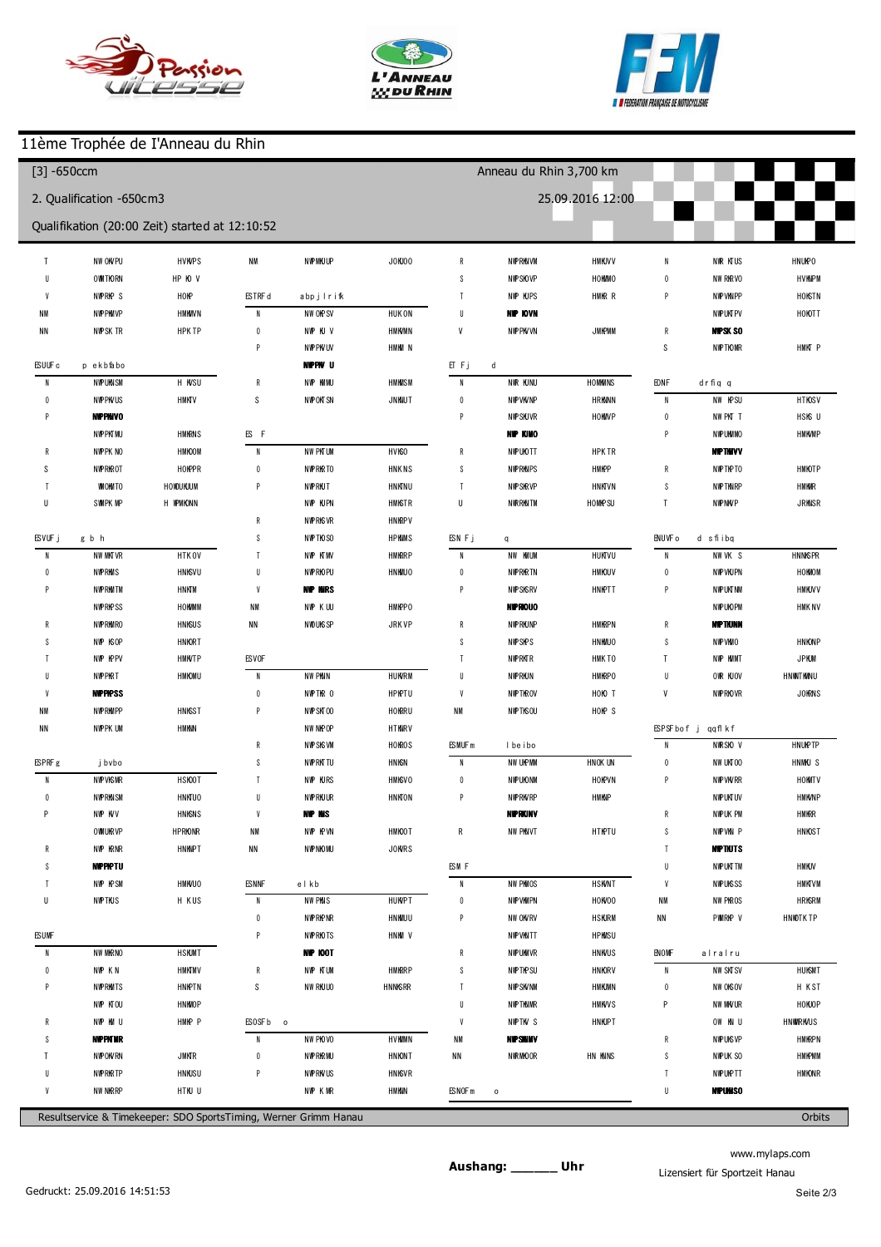





# 11ème Trophée de I'Anneau du Rhin

| $[3] -650$ ccm         |                          |                                                |                              |                         |                      |                    | Anneau du Rhin 3,700 km |                  |                           |                           |             |
|------------------------|--------------------------|------------------------------------------------|------------------------------|-------------------------|----------------------|--------------------|-------------------------|------------------|---------------------------|---------------------------|-------------|
|                        | 2. Qualification -650cm3 |                                                |                              |                         |                      |                    |                         | 25.09.2016 12:00 |                           |                           |             |
|                        |                          | Qualifikation (20:00 Zeit) started at 12:10:52 |                              |                         |                      |                    |                         |                  |                           |                           |             |
| p7                     | 1 42.938                 | $+9.936$                                       | 010                          | 130.883                 | $-2.822$             | 5                  | 135.190                 | $+0.899$         | $\mathbf{1}$              | 154.786                   | $+18.324$   |
| 8                      | 207.251                  | $+34.249$                                      |                              |                         |                      | 6                  | 136.293                 | $+2.002$         | $\overline{2}$            | 1 45.592                  | $+9.130$    |
| 9                      | 135.346                  | $+2.344$                                       |                              | (675) Geoffrey DESMOULN |                      | 7                  | 134.836                 | $+0.545$         | 3                         | 139.133                   | $+2.671$    |
| 10                     | 133.093                  | $+0.091$                                       | $\overline{1}$               | 1 42.369                | $+8.421$             | 8                  | 134.291                 |                  | $\overline{4}$            | 138.739                   | $+2.277$    |
| 11                     | 136.475                  | $+3.473$                                       | $\overline{2}$               | 134.849                 | $+0.901$             | p9                 | 133.991                 | $-0.300$         | 5                         | 136.462                   |             |
|                        |                          |                                                | $\sqrt{3}$                   | 133.989                 | $+0.041$             |                    |                         |                  | p6                        | 137.205                   | $+0.743$    |
| (688) F brian SCHNEDER |                          |                                                | $\overline{4}$               | 133.948                 |                      | (74) Marc Gilardi  |                         |                  |                           |                           |             |
| $\overline{1}$         | 138.160                  | $+4.968$                                       | 5                            | 134.008                 | $+0.060$             | $\overline{1}$     | 154.818                 | $+20.016$        |                           | (21) Adeline GU LTAT      |             |
| $\overline{2}$         | 133.986                  | $+0.794$                                       | p6                           | 132.761                 | $-1.187$             | $\overline{2}$     | 139.913                 | $+5.111$         | $\overline{1}$            | 1 44.368                  | $+7.269$    |
| 3                      | 133.192                  |                                                |                              |                         |                      | $\mathbf{3}$       | 136.895                 | $+2.093$         | $\overline{2}$            | 1 43.747                  | $+6.648$    |
| 4                      | 133.708                  | $+0.516$                                       |                              | (644) m ickaelesteves   |                      | $\overline{4}$     | 134,802                 |                  | $\sqrt{3}$                | 138.002                   | $+0.903$    |
| 5                      | 133.412                  | $+0.220$                                       | $\overline{1}$               | 1 43.780                | $+9.624$             | 5                  | 138.277                 | $+3.475$         | $\overline{4}$            | 137.099                   |             |
| p6                     | 135.527                  | $+2.335$                                       | $\overline{2}$               | 135.572                 | $+1.416$             | $6\phantom{1}$     | 1 35.136                | $+0.334$         | 5                         | 137.372                   | $+0.273$    |
| $\overline{7}$         | 4 0 2 0 7 2              | $+228.880$                                     | $\sqrt{3}$                   | 135.874                 | $+1.718$             | $\overline{1}$     | 136.593                 | $+1.791$         | $\boldsymbol{6}$          | 137.153                   | $+0.054$    |
| p8                     | 6 03.403                 | $+430.211$                                     | $\sqrt{4}$                   | 1 34.831                | $+0.675$             | p8                 | 155.170                 | $+20.368$        | p7                        | 131.934                   | $-5.165$    |
|                        |                          |                                                | 5                            | 135.695                 | $+1.539$             |                    |                         |                  |                           |                           |             |
| (698) M kae   JAECK    |                          |                                                | $\boldsymbol{6}$             | 137.262                 | $+3.106$             |                    | (614) M ickael Touati   |                  |                           | (189) Remy GAV LLET       |             |
| $\overline{1}$         | 1 40.795                 | $+7.429$                                       | $\overline{1}$               | 134.709                 | $+0.553$             | $\overline{1}$     | 1 44.080                | $+8.798$         | $\overline{1}$            | 1 49.446                  | $+11.635$   |
| $\overline{2}$         | 135.064                  | $+1.698$                                       | $\, 8$                       | 135.238                 | $+1.082$             | $\overline{2}$     | 1 3 5 5 7 1             | $+0.289$         | $\overline{2}$            | 139.831                   | $+2.020$    |
| 3                      | 1 35.070                 | $+1.704$                                       | $\overline{9}$               | 134156                  |                      | $\mathbf{3}$       | 136.659                 | $+1.377$         | $\sqrt{3}$                | 138.710                   | $+0.899$    |
| 4                      | 135.366                  | $+2.000$                                       | 10                           | 134.488                 | $+0.332$             | 4                  | 135.282                 |                  | $\overline{4}$            | 138.230                   | $+0.419$    |
| 5                      | 135.052                  | $+1.686$                                       | p11                          | 1 28.663                | $-5.493$             | 5                  | 1 3 5 8 1 3             | $+0.531$         | 5                         | 137.811                   |             |
| 6                      | 134.623                  | $+1.257$                                       |                              |                         |                      | $6\phantom{1}$     | 136.364                 | $+1.082$         | $6\phantom{.0}$           | 139.024                   | $+1.213$    |
| 7                      | 134.339                  | $+0.973$                                       | (692) bryan reech            |                         |                      | $\overline{7}$     | 1 35.754                | $+0.472$         | p7                        | 1 34.007                  | $-3.804$    |
| 8                      | 133.574                  | $+0.208$                                       | $\overline{1}$               | 1 43.114                | $+8.950$             | 8                  | 1 3 5 8 14              | $+0.532$         | 8                         | 254.829                   | $+1.17.018$ |
| $\boldsymbol{9}$       | 133.366                  |                                                | $\overline{2}$               | 137.542                 | $+3.378$             | $\boldsymbol{9}$   | 137.529                 | $+2.247$         | p9                        | 135.295                   | $-2.516$    |
| 10                     | 135.033                  | $+1.667$                                       | $\sqrt{3}$                   | 136.722                 | $+2.558$             | 10                 | 137.628                 | $+2.346$         |                           |                           |             |
| 11                     | 133.480                  | $+0.114$                                       | $\overline{4}$               | 1 41.323                | $+7.159$             |                    |                         |                  |                           | <b>(636) ER C MATTDNI</b> |             |
|                        |                          |                                                | $\sqrt{5}$                   | 136.690                 | $+2.526$             |                    | (608) Philippe B0 EHLER |                  | $\overline{1}$            | 156.249                   | $+18.373$   |
| (635) Jérém ie         | <b>MEYER</b>             |                                                | $6\phantom{.0}$              | 135.778                 | $+1.614$             | $\overline{1}$     | 1 48.300                | $+12.481$        | $\overline{2}$            | 1 48.722                  | $+10.846$   |
| $\overline{1}$         | 139.605                  | $+6.227$                                       | $\overline{1}$               | 134.856                 | $+0.692$             | $\overline{2}$     | 138.210                 | $+2.391$         | $\mathbf{3}$              | 139.955                   | $+2.079$    |
| $\overline{2}$         | 1 35.160                 | $+1.782$                                       | 8                            | 135.885                 | $+1.721$             | 3                  | 135.953                 | $+0.134$         | $\overline{4}$            | 138.789                   | $+0.913$    |
| p3                     | 1 34.994                 | $+1.616$                                       | $\boldsymbol{9}$             | 134.164                 |                      | 4                  | 135.819                 |                  | 5                         | 138.430                   | $+0.554$    |
| 4                      | 208.593                  | $+35.215$                                      | $10\,$                       | 134.391                 | $+0.227$             | p5                 | 1 43.197                | $+7.378$         | $\boldsymbol{6}$          | 139.143                   | $+1.267$    |
| 5                      | 134.515                  | $+1.137$                                       | p11                          | 131.208                 | $-2.956$             |                    |                         |                  | $\overline{7}$            | 137.876                   |             |
| ĥ                      | 133378                   |                                                |                              |                         |                      |                    | (604) julien Collignon  |                  | $\,$ 8                    | 138.770                   | $+0.894$    |
| $\overline{7}$         | 134.360                  | $+0.982$                                       |                              | (611) A drien CHONE     |                      | $\mathbf{1}$       | 1 43.026                | $+6.917$         | 9                         | 138.666                   | $+0.790$    |
| p8                     | 137.864                  | $+4.486$                                       | $\overline{1}$               | 1 43.164                | $+8.937$             | $\overline{2}$     | 139.031                 | $+2.922$         | 10                        | 1 43.526                  | $+5.650$    |
|                        |                          |                                                | $\overline{2}$               | 135.315                 | $+1.088$             | 3                  | 1 42.959                | $+6.850$         | 511                       | 3 05.349                  | $+127.473$  |
| (680) Cedric Becht     |                          |                                                | $\sqrt{3}$                   | 135.276                 | $+1.049$             | 4                  | 139.177                 | $+3.068$         |                           |                           |             |
| $\overline{1}$         | 1 40.512                 | $+6.807$                                       | $\overline{4}$               | 134.227                 |                      | 5                  | 138.095                 | $+1.986$         |                           | (120) jerom e DOUDOUX     |             |
| $\overline{2}$         | 134.414                  | $+0.709$                                       | 5                            | 134.780                 | $+0.553$             | $6\phantom{1}$     | 137.368                 | $+1.259$         | $\vert$                   | 1 46.769                  | $+8.607$    |
| 3                      | 135.076                  | $+1.371$                                       | p6                           | 1 45.882                | $+11.655$            | $\overline{1}$     | 136.910                 | $+0.801$         | $\overline{2}$            | 1 42.629                  | $+4.467$    |
| 4                      | 134.728                  | $+1.023$                                       |                              |                         |                      | 8                  | 137.105                 | $+0.996$         | p3                        | 1 40.985                  | $+2.823$    |
|                        | 134.048                  | $+0.343$                                       | (626) Eric Ruyer             |                         |                      | $\boldsymbol{9}$   | 137.946                 | $+1.837$         | $\overline{4}$            | 2 44.148                  | $+1.05.986$ |
| 5                      |                          |                                                | $\overline{1}$               | 1 43.292                | $+9.001$             | 10                 | 136.109                 |                  | $5\phantom{.0}$           | 138.693                   | $+0.531$    |
| 6                      | 133.705                  |                                                |                              |                         |                      |                    | 150.225                 | $+14.116$        | $\boldsymbol{6}$          | 138.462                   | $+0.300$    |
| p7                     | 132.951                  | $-0.754$                                       | $\sqrt{2}$                   | 135.508                 | $+1.217$             | 511                |                         |                  |                           |                           |             |
| 8<br>9                 | 135.573<br>1 41.553      | $+1.868$<br>$+7.848$                           | $\sqrt{3}$<br>$\overline{4}$ | 135.986<br>1 34.405     | $+1.695$<br>$+0.114$ | (612) Pierre Rum a |                         |                  | $7\phantom{.0}$<br>$\,$ 8 | 138.377<br>138.162        | $+0.215$    |

www.mylaps.com Lizensiert für Sportzeit Hanau